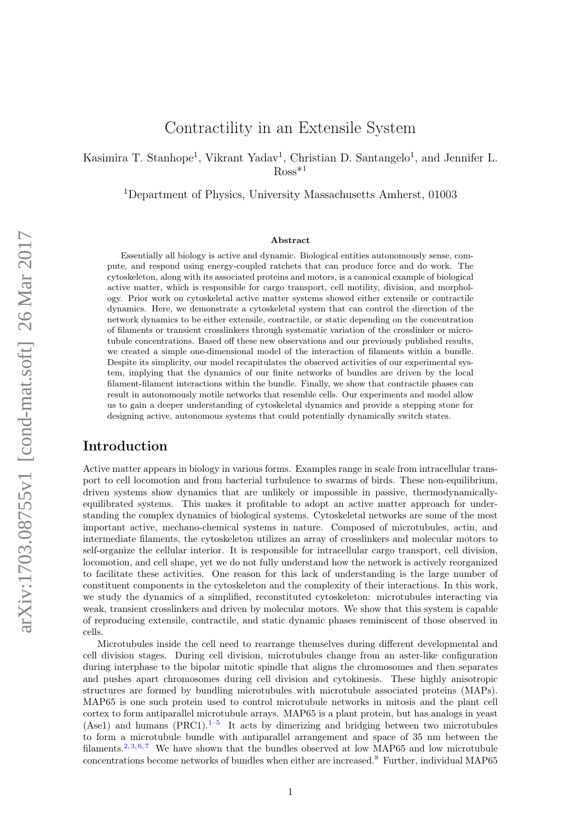# Contractility in an Extensile System

Kasimira T. Stanhope<sup>1</sup>, Vikrant Yadav<sup>1</sup>, Christian D. Santangelo<sup>1</sup>, and Jennifer L.  $Ross*1$ 

<sup>1</sup>Department of Physics, University Massachusetts Amherst, 01003

#### Abstract

Essentially all biology is active and dynamic. Biological entities autonomously sense, compute, and respond using energy-coupled ratchets that can produce force and do work. The cytoskeleton, along with its associated proteins and motors, is a canonical example of biological active matter, which is responsible for cargo transport, cell motility, division, and morphology. Prior work on cytoskeletal active matter systems showed either extensile or contractile dynamics. Here, we demonstrate a cytoskeletal system that can control the direction of the network dynamics to be either extensile, contractile, or static depending on the concentration of filaments or transient crosslinkers through systematic variation of the crosslinker or microtubule concentrations. Based off these new observations and our previously published results, we created a simple one-dimensional model of the interaction of filaments within a bundle. Despite its simplicity, our model recapitulates the observed activities of our experimental system, implying that the dynamics of our finite networks of bundles are driven by the local filament-filament interactions within the bundle. Finally, we show that contractile phases can result in autonomously motile networks that resemble cells. Our experiments and model allow us to gain a deeper understanding of cytoskeletal dynamics and provide a stepping stone for designing active, autonomous systems that could potentially dynamically switch states.

### Introduction

Active matter appears in biology in various forms. Examples range in scale from intracellular transport to cell locomotion and from bacterial turbulence to swarms of birds. These non-equilibrium, driven systems show dynamics that are unlikely or impossible in passive, thermodynamicallyequilibrated systems. This makes it profitable to adopt an active matter approach for understanding the complex dynamics of biological systems. Cytoskeletal networks are some of the most important active, mechano-chemical systems in nature. Composed of microtubules, actin, and intermediate filaments, the cytoskeleton utilizes an array of crosslinkers and molecular motors to self-organize the cellular interior. It is responsible for intracellular cargo transport, cell division, locomotion, and cell shape, yet we do not fully understand how the network is actively reorganized to facilitate these activities. One reason for this lack of understanding is the large number of constituent components in the cytoskeleton and the complexity of their interactions. In this work, we study the dynamics of a simplified, reconstituted cytoskeleton: microtubules interacting via weak, transient crosslinkers and driven by molecular motors. We show that this system is capable of reproducing extensile, contractile, and static dynamic phases reminiscent of those observed in cells.

Microtubules inside the cell need to rearrange themselves during different developmental and cell division stages. During cell division, microtubules change from an aster-like configuration during interphase to the bipolar mitotic spindle that aligns the chromosomes and then separates and pushes apart chromosomes during cell division and cytokinesis. These highly anisotropic structures are formed by bundling microtubules with microtubule associated proteins (MAPs). MAP65 is one such protein used to control microtubule networks in mitosis and the plant cell cortex to form antiparallel microtubule arrays. MAP65 is a plant protein, but has analogs in yeast (Ase[1](#page-11-0)) and humans  $(PRC1).<sup>1-5</sup>$  It acts by dimerizing and bridging between two microtubules to form a microtubule bundle with antiparallel arrangement and space of 35 nm between the filaments.<sup>[2,](#page-11-2) [3,](#page-11-3) [6,](#page-11-4)[7](#page-11-5)</sup> We have shown that the bundles observed at low MAP65 and low microtubule concentrations become networks of bundles when either are increased.[8](#page-11-6) Further, individual MAP65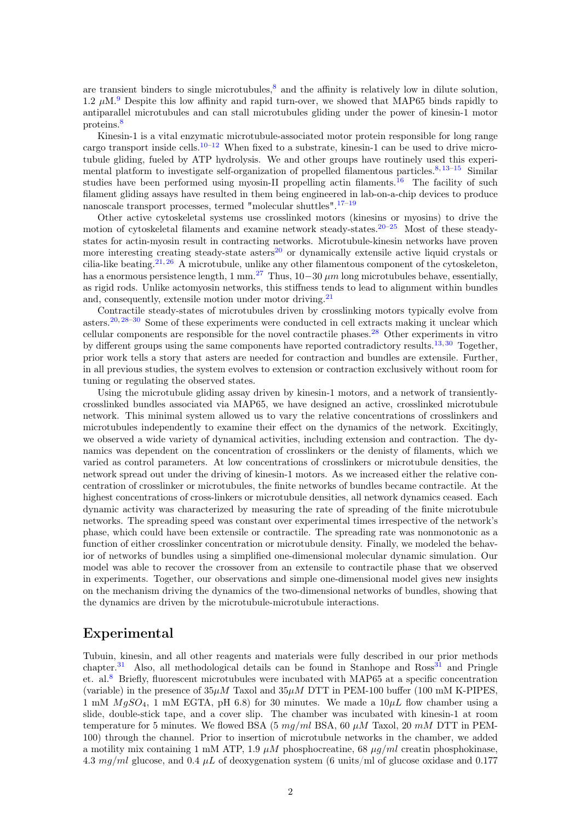are transient binders to single microtubules, $\delta$  and the affinity is relatively low in dilute solution, 1.2  $\mu$ M.<sup>[9](#page-11-7)</sup> Despite this low affinity and rapid turn-over, we showed that MAP65 binds rapidly to antiparallel microtubules and can stall microtubules gliding under the power of kinesin-1 motor proteins.[8](#page-11-6)

Kinesin-1 is a vital enzymatic microtubule-associated motor protein responsible for long range cargo transport inside cells.<sup>[10–](#page-11-8)[12](#page-11-9)</sup> When fixed to a substrate, kinesin-1 can be used to drive microtubule gliding, fueled by ATP hydrolysis. We and other groups have routinely used this experi-mental platform to investigate self-organization of propelled filamentous particles.<sup>[8,](#page-11-6) [13–](#page-11-10)[15](#page-11-11)</sup> Similar studies have been performed using myosin-II propelling actin filaments.<sup>[16](#page-11-12)</sup> The facility of such filament gliding assays have resulted in them being engineered in lab-on-a-chip devices to produce nanoscale transport processes, termed "molecular shuttles".[17](#page-11-13)[–19](#page-11-14)

Other active cytoskeletal systems use crosslinked motors (kinesins or myosins) to drive the motion of cytoskeletal filaments and examine network steady-states.<sup>[20](#page-12-0)[–25](#page-12-1)</sup> Most of these steadystates for actin-myosin result in contracting networks. Microtubule-kinesin networks have proven more interesting creating steady-state asters $^{20}$  $^{20}$  $^{20}$  or dynamically extensile active liquid crystals or cilia-like beating.<sup>[21,](#page-12-2) [26](#page-12-3)</sup> A microtubule, unlike any other filamentous component of the cytoskeleton, has a enormous persistence length,  $1 \text{ mm}^{27}$  $1 \text{ mm}^{27}$  $1 \text{ mm}^{27}$  Thus,  $10-30 \mu m$  long microtubules behave, essentially, as rigid rods. Unlike actomyosin networks, this stiffness tends to lead to alignment within bundles and, consequently, extensile motion under motor driving.<sup>[21](#page-12-2)</sup>

Contractile steady-states of microtubules driven by crosslinking motors typically evolve from asters.<sup>[20,](#page-12-0) [28–](#page-12-5)[30](#page-12-6)</sup> Some of these experiments were conducted in cell extracts making it unclear which cellular components are responsible for the novel contractile phases.<sup>[28](#page-12-5)</sup> Other experiments in vitro by different groups using the same components have reported contradictory results.<sup>[13,](#page-11-10) [30](#page-12-6)</sup> Together, prior work tells a story that asters are needed for contraction and bundles are extensile. Further, in all previous studies, the system evolves to extension or contraction exclusively without room for tuning or regulating the observed states.

Using the microtubule gliding assay driven by kinesin-1 motors, and a network of transientlycrosslinked bundles associated via MAP65, we have designed an active, crosslinked microtubule network. This minimal system allowed us to vary the relative concentrations of crosslinkers and microtubules independently to examine their effect on the dynamics of the network. Excitingly, we observed a wide variety of dynamical activities, including extension and contraction. The dynamics was dependent on the concentration of crosslinkers or the denisty of filaments, which we varied as control parameters. At low concentrations of crosslinkers or microtubule densities, the network spread out under the driving of kinesin-1 motors. As we increased either the relative concentration of crosslinker or microtubules, the finite networks of bundles became contractile. At the highest concentrations of cross-linkers or microtubule densities, all network dynamics ceased. Each dynamic activity was characterized by measuring the rate of spreading of the finite microtubule networks. The spreading speed was constant over experimental times irrespective of the network's phase, which could have been extensile or contractile. The spreading rate was nonmonotonic as a function of either crosslinker concentration or microtubule density. Finally, we modeled the behavior of networks of bundles using a simplified one-dimensional molecular dynamic simulation. Our model was able to recover the crossover from an extensile to contractile phase that we observed in experiments. Together, our observations and simple one-dimensional model gives new insights on the mechanism driving the dynamics of the two-dimensional networks of bundles, showing that the dynamics are driven by the microtubule-microtubule interactions.

## Experimental

Tubuin, kinesin, and all other reagents and materials were fully described in our prior methods chapter.<sup>[31](#page-12-7)</sup> Also, all methodological details can be found in Stanhope and Ross<sup>31</sup> and Pringle et. al.[8](#page-11-6) Briefly, fluorescent microtubules were incubated with MAP65 at a specific concentration (variable) in the presence of  $35\mu$ M Taxol and  $35\mu$ M DTT in PEM-100 buffer (100 mM K-PIPES, 1 mM  $MgSO<sub>4</sub>$ , 1 mM EGTA, pH 6.8) for 30 minutes. We made a  $10\mu L$  flow chamber using a slide, double-stick tape, and a cover slip. The chamber was incubated with kinesin-1 at room temperature for 5 minutes. We flowed BSA (5  $mg/ml$  BSA, 60  $\mu$ M Taxol, 20  $m$ M DTT in PEM-100) through the channel. Prior to insertion of microtubule networks in the chamber, we added a motility mix containing 1 mM ATP, 1.9  $\mu$ M phosphocreatine, 68  $\mu$ g/ml creatin phosphokinase, 4.3 mg/ml glucose, and 0.4  $\mu$ L of deoxygenation system (6 units/ml of glucose oxidase and 0.177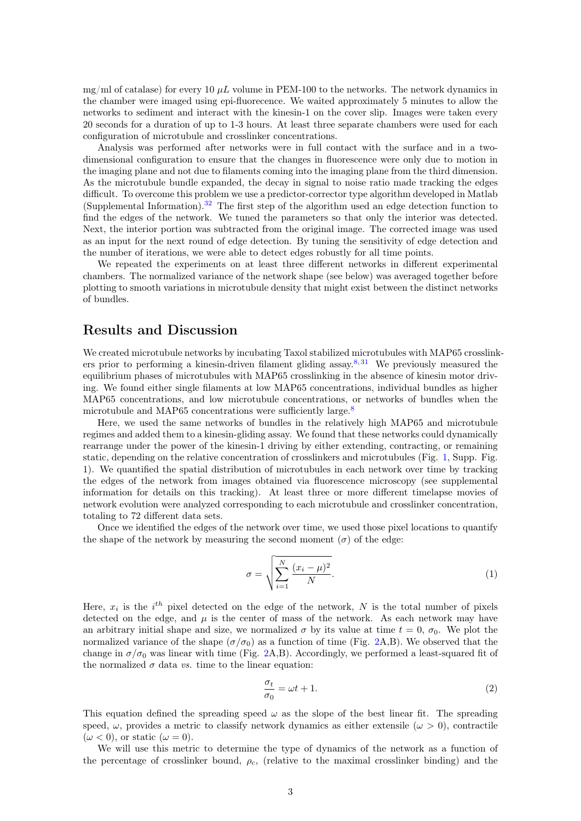mg/ml of catalase) for every 10  $\mu$ L volume in PEM-100 to the networks. The network dynamics in the chamber were imaged using epi-fluorecence. We waited approximately 5 minutes to allow the networks to sediment and interact with the kinesin-1 on the cover slip. Images were taken every 20 seconds for a duration of up to 1-3 hours. At least three separate chambers were used for each configuration of microtubule and crosslinker concentrations.

Analysis was performed after networks were in full contact with the surface and in a twodimensional configuration to ensure that the changes in fluorescence were only due to motion in the imaging plane and not due to filaments coming into the imaging plane from the third dimension. As the microtubule bundle expanded, the decay in signal to noise ratio made tracking the edges difficult. To overcome this problem we use a predictor-corrector type algorithm developed in Matlab (Supplemental Information).[32](#page-12-8) The first step of the algorithm used an edge detection function to find the edges of the network. We tuned the parameters so that only the interior was detected. Next, the interior portion was subtracted from the original image. The corrected image was used as an input for the next round of edge detection. By tuning the sensitivity of edge detection and the number of iterations, we were able to detect edges robustly for all time points.

We repeated the experiments on at least three different networks in different experimental chambers. The normalized variance of the network shape (see below) was averaged together before plotting to smooth variations in microtubule density that might exist between the distinct networks of bundles.

### Results and Discussion

We created microtubule networks by incubating Taxol stabilized microtubules with MAP65 crosslink-ers prior to performing a kinesin-driven filament gliding assay.<sup>[8,](#page-11-6) [31](#page-12-7)</sup> We previously measured the equilibrium phases of microtubules with MAP65 crosslinking in the absence of kinesin motor driving. We found either single filaments at low MAP65 concentrations, individual bundles as higher MAP65 concentrations, and low microtubule concentrations, or networks of bundles when the microtubule and MAP65 concentrations were sufficiently large.<sup>[8](#page-11-6)</sup>

Here, we used the same networks of bundles in the relatively high MAP65 and microtubule regimes and added them to a kinesin-gliding assay. We found that these networks could dynamically rearrange under the power of the kinesin-1 driving by either extending, contracting, or remaining static, depending on the relative concentration of crosslinkers and microtubules (Fig. [1,](#page-3-0) Supp. Fig. 1). We quantified the spatial distribution of microtubules in each network over time by tracking the edges of the network from images obtained via fluorescence microscopy (see supplemental information for details on this tracking). At least three or more different timelapse movies of network evolution were analyzed corresponding to each microtubule and crosslinker concentration, totaling to 72 different data sets.

Once we identified the edges of the network over time, we used those pixel locations to quantify the shape of the network by measuring the second moment  $(\sigma)$  of the edge:

$$
\sigma = \sqrt{\sum_{i=1}^{N} \frac{(x_i - \mu)^2}{N}}.
$$
\n(1)

Here,  $x_i$  is the  $i<sup>th</sup>$  pixel detected on the edge of the network, N is the total number of pixels detected on the edge, and  $\mu$  is the center of mass of the network. As each network may have an arbitrary initial shape and size, we normalized  $\sigma$  by its value at time  $t = 0$ ,  $\sigma_0$ . We plot the normalized variance of the shape  $(\sigma/\sigma_0)$  as a function of time (Fig. [2A](#page-4-0),B). We observed that the change in  $\sigma/\sigma_0$  was linear with time (Fig. [2A](#page-4-0),B). Accordingly, we performed a least-squared fit of the normalized  $\sigma$  data *vs*. time to the linear equation:

<span id="page-2-0"></span>
$$
\frac{\sigma_t}{\sigma_0} = \omega t + 1. \tag{2}
$$

This equation defined the spreading speed  $\omega$  as the slope of the best linear fit. The spreading speed,  $\omega$ , provides a metric to classify network dynamics as either extensile  $(\omega > 0)$ , contractile  $(\omega < 0)$ , or static  $(\omega = 0)$ .

We will use this metric to determine the type of dynamics of the network as a function of the percentage of crosslinker bound,  $\rho_c$ , (relative to the maximal crosslinker binding) and the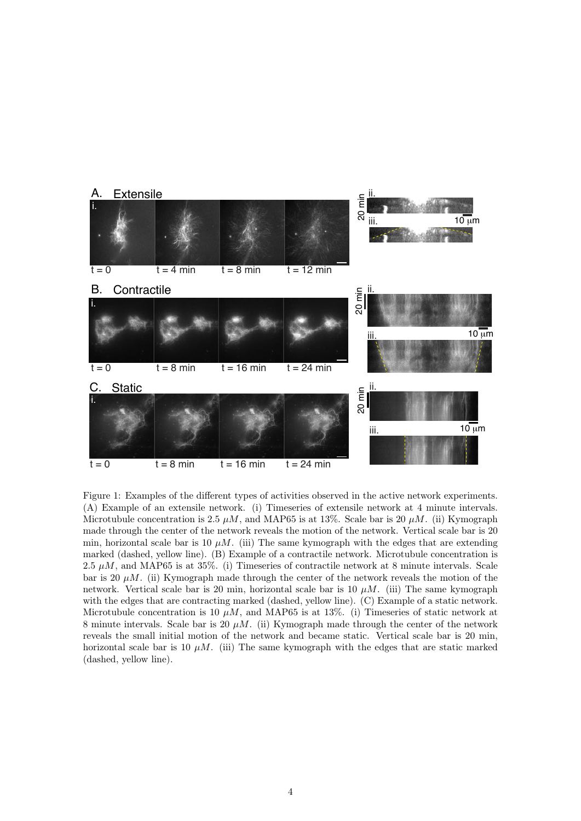

<span id="page-3-0"></span>Figure 1: Examples of the different types of activities observed in the active network experiments. (A) Example of an extensile network. (i) Timeseries of extensile network at 4 minute intervals. Microtubule concentration is 2.5  $\mu$ M, and MAP65 is at 13%. Scale bar is 20  $\mu$ M. (ii) Kymograph made through the center of the network reveals the motion of the network. Vertical scale bar is 20 min, horizontal scale bar is 10  $\mu$ M. (iii) The same kymograph with the edges that are extending marked (dashed, yellow line). (B) Example of a contractile network. Microtubule concentration is 2.5  $\mu$ M, and MAP65 is at 35%. (i) Timeseries of contractile network at 8 minute intervals. Scale bar is 20  $\mu$ M. (ii) Kymograph made through the center of the network reveals the motion of the network. Vertical scale bar is 20 min, horizontal scale bar is 10  $\mu$ M. (iii) The same kymograph with the edges that are contracting marked (dashed, yellow line). (C) Example of a static network. Microtubule concentration is 10  $\mu$ M, and MAP65 is at 13%. (i) Timeseries of static network at 8 minute intervals. Scale bar is 20  $\mu$ M. (ii) Kymograph made through the center of the network reveals the small initial motion of the network and became static. Vertical scale bar is 20 min, horizontal scale bar is 10  $\mu$ M. (iii) The same kymograph with the edges that are static marked (dashed, yellow line).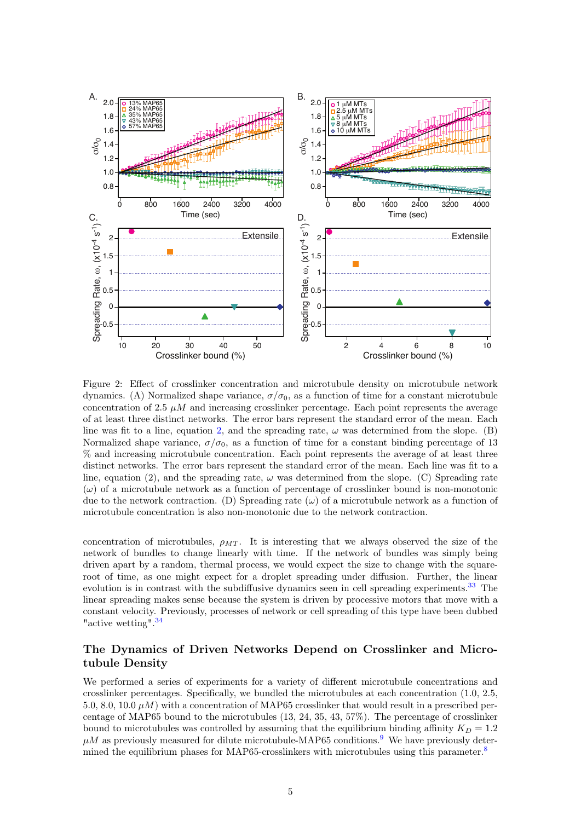

<span id="page-4-0"></span>Figure 2: Effect of crosslinker concentration and microtubule density on microtubule network dynamics. (A) Normalized shape variance,  $\sigma/\sigma_0$ , as a function of time for a constant microtubule concentration of 2.5  $\mu$ M and increasing crosslinker percentage. Each point represents the average of at least three distinct networks. The error bars represent the standard error of the mean. Each line was fit to a line, equation [2,](#page-2-0) and the spreading rate,  $\omega$  was determined from the slope. (B) Normalized shape variance,  $\sigma/\sigma_0$ , as a function of time for a constant binding percentage of 13 % and increasing microtubule concentration. Each point represents the average of at least three distinct networks. The error bars represent the standard error of the mean. Each line was fit to a line, equation (2), and the spreading rate,  $\omega$  was determined from the slope. (C) Spreading rate  $(\omega)$  of a microtubule network as a function of percentage of crosslinker bound is non-monotonic due to the network contraction. (D) Spreading rate  $(\omega)$  of a microtubule network as a function of microtubule concentration is also non-monotonic due to the network contraction.

concentration of microtubules,  $\rho_{MT}$ . It is interesting that we always observed the size of the network of bundles to change linearly with time. If the network of bundles was simply being driven apart by a random, thermal process, we would expect the size to change with the squareroot of time, as one might expect for a droplet spreading under diffusion. Further, the linear evolution is in contrast with the subdiffusive dynamics seen in cell spreading experiments.<sup>[33](#page-12-9)</sup> The linear spreading makes sense because the system is driven by processive motors that move with a constant velocity. Previously, processes of network or cell spreading of this type have been dubbed "active wetting".<sup>[34](#page-12-10)</sup>

### The Dynamics of Driven Networks Depend on Crosslinker and Microtubule Density

We performed a series of experiments for a variety of different microtubule concentrations and crosslinker percentages. Specifically, we bundled the microtubules at each concentration (1.0, 2.5, 5.0, 8.0, 10.0  $\mu$ M) with a concentration of MAP65 crosslinker that would result in a prescribed percentage of MAP65 bound to the microtubules (13, 24, 35, 43, 57%). The percentage of crosslinker bound to microtubules was controlled by assuming that the equilibrium binding affinity  $K_D = 1.2$  $\mu$ M as previously measured for dilute microtubule-MAP65 conditions.<sup>[9](#page-11-7)</sup> We have previously deter-mined the equilibrium phases for MAP65-crosslinkers with microtubules using this parameter.<sup>[8](#page-11-6)</sup>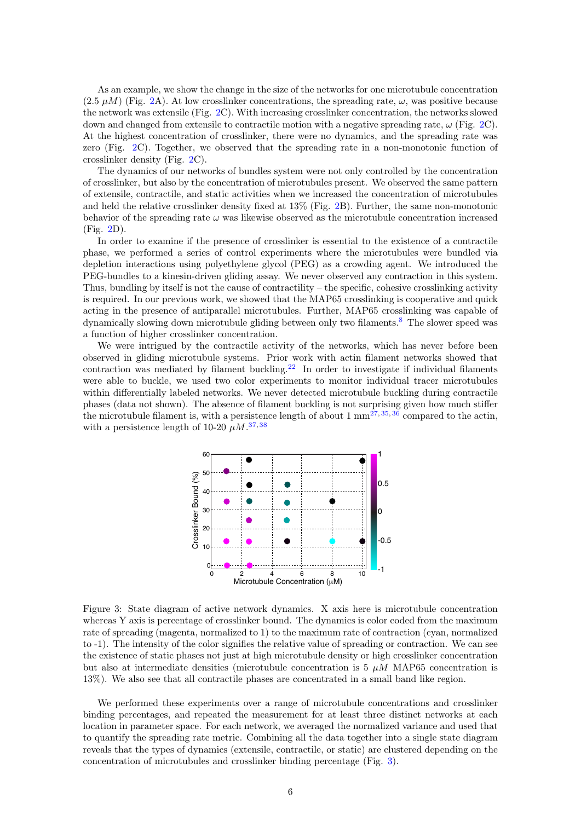As an example, we show the change in the size of the networks for one microtubule concentration  $(2.5 \mu M)$  (Fig. [2A](#page-4-0)). At low crosslinker concentrations, the spreading rate,  $\omega$ , was positive because the network was extensile (Fig. [2C](#page-4-0)). With increasing crosslinker concentration, the networks slowed down and changed from extensile to contractile motion with a negative spreading rate,  $\omega$  (Fig. [2C](#page-4-0)). At the highest concentration of crosslinker, there were no dynamics, and the spreading rate was zero (Fig. [2C](#page-4-0)). Together, we observed that the spreading rate in a non-monotonic function of crosslinker density (Fig. [2C](#page-4-0)).

The dynamics of our networks of bundles system were not only controlled by the concentration of crosslinker, but also by the concentration of microtubules present. We observed the same pattern of extensile, contractile, and static activities when we increased the concentration of microtubules and held the relative crosslinker density fixed at 13% (Fig. [2B](#page-4-0)). Further, the same non-monotonic behavior of the spreading rate  $\omega$  was likewise observed as the microtubule concentration increased (Fig. [2D](#page-4-0)).

In order to examine if the presence of crosslinker is essential to the existence of a contractile phase, we performed a series of control experiments where the microtubules were bundled via depletion interactions using polyethylene glycol (PEG) as a crowding agent. We introduced the PEG-bundles to a kinesin-driven gliding assay. We never observed any contraction in this system. Thus, bundling by itself is not the cause of contractility – the specific, cohesive crosslinking activity is required. In our previous work, we showed that the MAP65 crosslinking is cooperative and quick acting in the presence of antiparallel microtubules. Further, MAP65 crosslinking was capable of dynamically slowing down microtubule gliding between only two filaments.[8](#page-11-6) The slower speed was a function of higher crosslinker concentration.

We were intrigued by the contractile activity of the networks, which has never before been observed in gliding microtubule systems. Prior work with actin filament networks showed that contraction was mediated by filament buckling.<sup>[22](#page-12-11)</sup> In order to investigate if individual filaments were able to buckle, we used two color experiments to monitor individual tracer microtubules within differentially labeled networks. We never detected microtubule buckling during contractile phases (data not shown). The absence of filament buckling is not surprising given how much stiffer the microtubule filament is, with a persistence length of about  $1 \text{ mm}^{27,35,36}$  $1 \text{ mm}^{27,35,36}$  $1 \text{ mm}^{27,35,36}$  $1 \text{ mm}^{27,35,36}$  $1 \text{ mm}^{27,35,36}$  compared to the actin, with a persistence length of 10-20  $\mu$ M.<sup>[37,](#page-12-14)[38](#page-12-15)</sup>



<span id="page-5-0"></span>Figure 3: State diagram of active network dynamics. X axis here is microtubule concentration whereas Y axis is percentage of crosslinker bound. The dynamics is color coded from the maximum rate of spreading (magenta, normalized to 1) to the maximum rate of contraction (cyan, normalized to -1). The intensity of the color signifies the relative value of spreading or contraction. We can see the existence of static phases not just at high microtubule density or high crosslinker concentration but also at intermediate densities (microtubule concentration is  $5 \mu M$  MAP65 concentration is 13%). We also see that all contractile phases are concentrated in a small band like region.

We performed these experiments over a range of microtubule concentrations and crosslinker binding percentages, and repeated the measurement for at least three distinct networks at each location in parameter space. For each network, we averaged the normalized variance and used that to quantify the spreading rate metric. Combining all the data together into a single state diagram reveals that the types of dynamics (extensile, contractile, or static) are clustered depending on the concentration of microtubules and crosslinker binding percentage (Fig. [3\)](#page-5-0).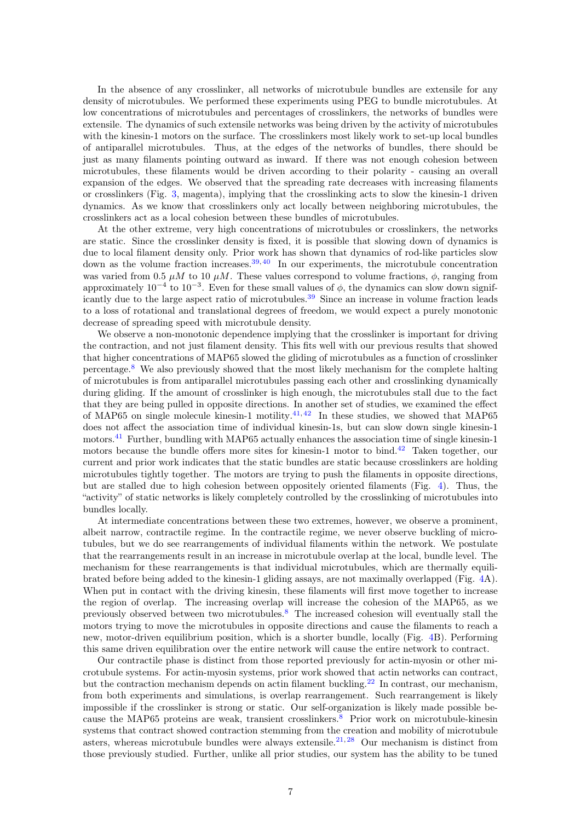In the absence of any crosslinker, all networks of microtubule bundles are extensile for any density of microtubules. We performed these experiments using PEG to bundle microtubules. At low concentrations of microtubules and percentages of crosslinkers, the networks of bundles were extensile. The dynamics of such extensile networks was being driven by the activity of microtubules with the kinesin-1 motors on the surface. The crosslinkers most likely work to set-up local bundles of antiparallel microtubules. Thus, at the edges of the networks of bundles, there should be just as many filaments pointing outward as inward. If there was not enough cohesion between microtubules, these filaments would be driven according to their polarity - causing an overall expansion of the edges. We observed that the spreading rate decreases with increasing filaments or crosslinkers (Fig. [3,](#page-5-0) magenta), implying that the crosslinking acts to slow the kinesin-1 driven dynamics. As we know that crosslinkers only act locally between neighboring microtubules, the crosslinkers act as a local cohesion between these bundles of microtubules.

At the other extreme, very high concentrations of microtubules or crosslinkers, the networks are static. Since the crosslinker density is fixed, it is possible that slowing down of dynamics is due to local filament density only. Prior work has shown that dynamics of rod-like particles slow down as the volume fraction increases.<sup>[39,](#page-12-16) [40](#page-12-17)</sup> In our experiments, the microtubule concentration was varied from 0.5  $\mu$ M to 10  $\mu$ M. These values correspond to volume fractions,  $\phi$ , ranging from approximately  $10^{-4}$  to  $10^{-3}$ . Even for these small values of  $\phi$ , the dynamics can slow down signif-icantly due to the large aspect ratio of microtubules.<sup>[39](#page-12-16)</sup> Since an increase in volume fraction leads to a loss of rotational and translational degrees of freedom, we would expect a purely monotonic decrease of spreading speed with microtubule density.

We observe a non-monotonic dependence implying that the crosslinker is important for driving the contraction, and not just filament density. This fits well with our previous results that showed that higher concentrations of MAP65 slowed the gliding of microtubules as a function of crosslinker percentage.[8](#page-11-6) We also previously showed that the most likely mechanism for the complete halting of microtubules is from antiparallel microtubules passing each other and crosslinking dynamically during gliding. If the amount of crosslinker is high enough, the microtubules stall due to the fact that they are being pulled in opposite directions. In another set of studies, we examined the effect of MAP65 on single molecule kinesin-1 motility.<sup>[41,](#page-12-18) [42](#page-12-19)</sup> In these studies, we showed that MAP65 does not affect the association time of individual kinesin-1s, but can slow down single kinesin-1 motors.<sup>[41](#page-12-18)</sup> Further, bundling with MAP65 actually enhances the association time of single kinesin-1 motors because the bundle offers more sites for kinesin-1 motor to bind.<sup>[42](#page-12-19)</sup> Taken together, our current and prior work indicates that the static bundles are static because crosslinkers are holding microtubules tightly together. The motors are trying to push the filaments in opposite directions, but are stalled due to high cohesion between oppositely oriented filaments (Fig. [4\)](#page-7-0). Thus, the "activity" of static networks is likely completely controlled by the crosslinking of microtubules into bundles locally.

At intermediate concentrations between these two extremes, however, we observe a prominent, albeit narrow, contractile regime. In the contractile regime, we never observe buckling of microtubules, but we do see rearrangements of individual filaments within the network. We postulate that the rearrangements result in an increase in microtubule overlap at the local, bundle level. The mechanism for these rearrangements is that individual microtubules, which are thermally equilibrated before being added to the kinesin-1 gliding assays, are not maximally overlapped (Fig. [4A](#page-7-0)). When put in contact with the driving kinesin, these filaments will first move together to increase the region of overlap. The increasing overlap will increase the cohesion of the MAP65, as we previously observed between two microtubules.[8](#page-11-6) The increased cohesion will eventually stall the motors trying to move the microtubules in opposite directions and cause the filaments to reach a new, motor-driven equilibrium position, which is a shorter bundle, locally (Fig. [4B](#page-7-0)). Performing this same driven equilibration over the entire network will cause the entire network to contract.

Our contractile phase is distinct from those reported previously for actin-myosin or other microtubule systems. For actin-myosin systems, prior work showed that actin networks can contract, but the contraction mechanism depends on actin filament buckling.<sup>[22](#page-12-11)</sup> In contrast, our mechanism, from both experiments and simulations, is overlap rearrangement. Such rearrangement is likely impossible if the crosslinker is strong or static. Our self-organization is likely made possible be-cause the MAP65 proteins are weak, transient crosslinkers.<sup>[8](#page-11-6)</sup> Prior work on microtubule-kinesin systems that contract showed contraction stemming from the creation and mobility of microtubule asters, whereas microtubule bundles were always extensile.<sup>[21,](#page-12-2) [28](#page-12-5)</sup> Our mechanism is distinct from those previously studied. Further, unlike all prior studies, our system has the ability to be tuned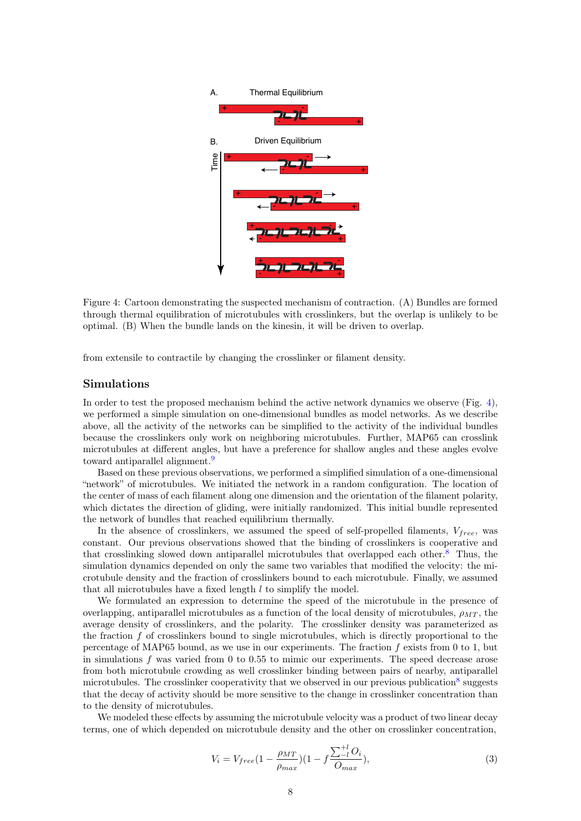

<span id="page-7-0"></span>Figure 4: Cartoon demonstrating the suspected mechanism of contraction. (A) Bundles are formed through thermal equilibration of microtubules with crosslinkers, but the overlap is unlikely to be optimal. (B) When the bundle lands on the kinesin, it will be driven to overlap.

from extensile to contractile by changing the crosslinker or filament density.

#### Simulations

In order to test the proposed mechanism behind the active network dynamics we observe (Fig. [4\)](#page-7-0), we performed a simple simulation on one-dimensional bundles as model networks. As we describe above, all the activity of the networks can be simplified to the activity of the individual bundles because the crosslinkers only work on neighboring microtubules. Further, MAP65 can crosslink microtubules at different angles, but have a preference for shallow angles and these angles evolve toward antiparallel alignment.<sup>[9](#page-11-7)</sup>

Based on these previous observations, we performed a simplified simulation of a one-dimensional "network" of microtubules. We initiated the network in a random configuration. The location of the center of mass of each filament along one dimension and the orientation of the filament polarity, which dictates the direction of gliding, were initially randomized. This initial bundle represented the network of bundles that reached equilibrium thermally.

In the absence of crosslinkers, we assumed the speed of self-propelled filaments,  $V_{free}$ , was constant. Our previous observations showed that the binding of crosslinkers is cooperative and that crosslinking slowed down antiparallel microtubules that overlapped each other.[8](#page-11-6) Thus, the simulation dynamics depended on only the same two variables that modified the velocity: the microtubule density and the fraction of crosslinkers bound to each microtubule. Finally, we assumed that all microtubules have a fixed length  $l$  to simplify the model.

We formulated an expression to determine the speed of the microtubule in the presence of overlapping, antiparallel microtubules as a function of the local density of microtubules,  $\rho_{MT}$ , the average density of crosslinkers, and the polarity. The crosslinker density was parameterized as the fraction  $f$  of crosslinkers bound to single microtubules, which is directly proportional to the percentage of MAP65 bound, as we use in our experiments. The fraction  $f$  exists from 0 to 1, but in simulations f was varied from 0 to 0.55 to mimic our experiments. The speed decrease arose from both microtubule crowding as well crosslinker binding between pairs of nearby, antiparallel microtubules. The crosslinker cooperativity that we observed in our previous publication<sup>[8](#page-11-6)</sup> suggests that the decay of activity should be more sensitive to the change in crosslinker concentration than to the density of microtubules.

We modeled these effects by assuming the microtubule velocity was a product of two linear decay terms, one of which depended on microtubule density and the other on crosslinker concentration,

<span id="page-7-1"></span>
$$
V_i = V_{free} (1 - \frac{\rho_{MT}}{\rho_{max}}) (1 - f \frac{\sum_{l}^{+l} O_i}{O_{max}}),
$$
\n(3)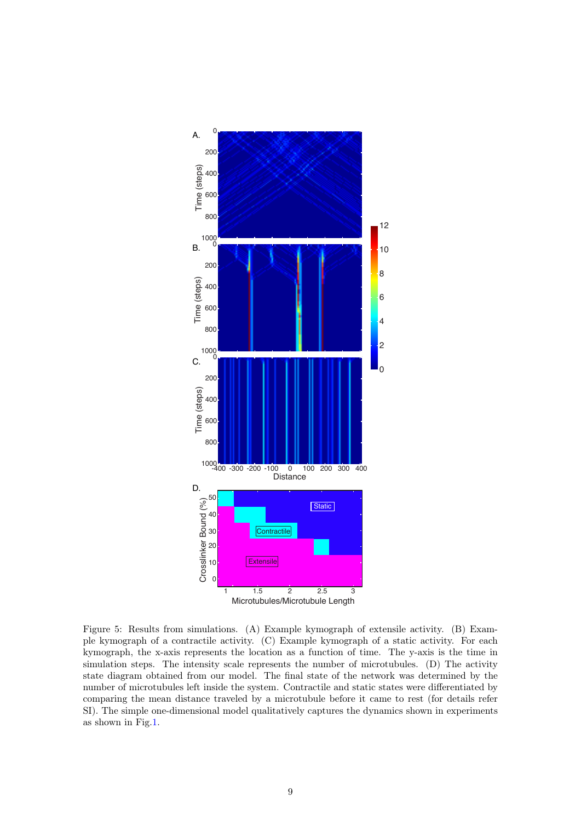

<span id="page-8-0"></span>Figure 5: Results from simulations. (A) Example kymograph of extensile activity. (B) Example kymograph of a contractile activity. (C) Example kymograph of a static activity. For each kymograph, the x-axis represents the location as a function of time. The y-axis is the time in simulation steps. The intensity scale represents the number of microtubules. (D) The activity state diagram obtained from our model. The final state of the network was determined by the number of microtubules left inside the system. Contractile and static states were differentiated by comparing the mean distance traveled by a microtubule before it came to rest (for details refer SI). The simple one-dimensional model qualitatively captures the dynamics shown in experiments as shown in Fig[.1.](#page-3-0)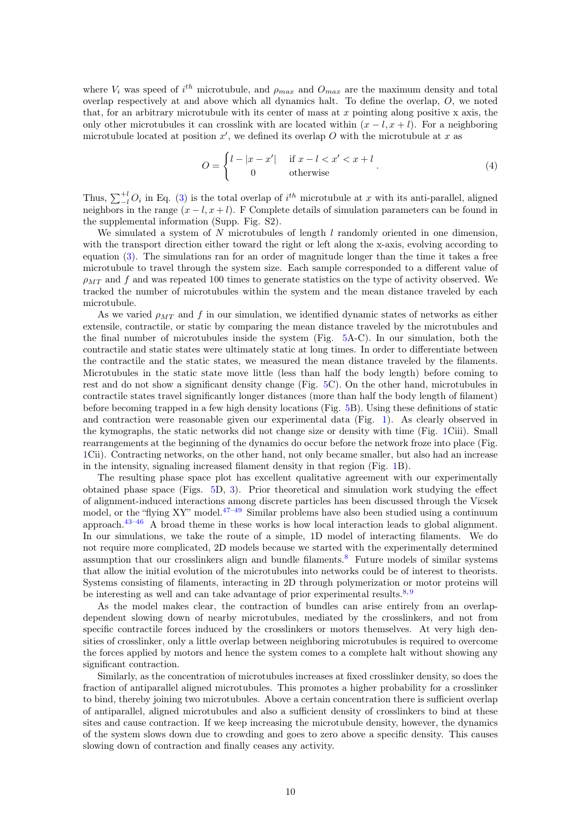where  $V_i$  was speed of i<sup>th</sup> microtubule, and  $\rho_{max}$  and  $O_{max}$  are the maximum density and total overlap respectively at and above which all dynamics halt. To define the overlap, O, we noted that, for an arbitrary microtubule with its center of mass at  $x$  pointing along positive x axis, the only other microtubules it can crosslink with are located within  $(x - l, x + l)$ . For a neighboring microtubule located at position  $x'$ , we defined its overlap O with the microtubule at x as

$$
O = \begin{cases} l - |x - x'| & \text{if } x - l < x' < x + l \\ 0 & \text{otherwise} \end{cases} \tag{4}
$$

Thus,  $\sum_{l=1}^{+l} O_i$  in Eq. [\(3\)](#page-7-1) is the total overlap of  $i^{th}$  microtubule at x with its anti-parallel, aligned neighbors in the range  $(x - l, x + l)$ . F Complete details of simulation parameters can be found in the supplemental information (Supp. Fig. S2).

We simulated a system of N microtubules of length  $l$  randomly oriented in one dimension, with the transport direction either toward the right or left along the x-axis, evolving according to equation [\(3\)](#page-7-1). The simulations ran for an order of magnitude longer than the time it takes a free microtubule to travel through the system size. Each sample corresponded to a different value of  $\rho_{MT}$  and f and was repeated 100 times to generate statistics on the type of activity observed. We tracked the number of microtubules within the system and the mean distance traveled by each microtubule.

As we varied  $\rho_{MT}$  and f in our simulation, we identified dynamic states of networks as either extensile, contractile, or static by comparing the mean distance traveled by the microtubules and the final number of microtubules inside the system (Fig. [5A](#page-8-0)-C). In our simulation, both the contractile and static states were ultimately static at long times. In order to differentiate between the contractile and the static states, we measured the mean distance traveled by the filaments. Microtubules in the static state move little (less than half the body length) before coming to rest and do not show a significant density change (Fig. [5C](#page-8-0)). On the other hand, microtubules in contractile states travel significantly longer distances (more than half the body length of filament) before becoming trapped in a few high density locations (Fig. [5B](#page-8-0)). Using these definitions of static and contraction were reasonable given our experimental data (Fig. [1\)](#page-3-0). As clearly observed in the kymographs, the static networks did not change size or density with time (Fig. [1C](#page-3-0)iii). Small rearrangements at the beginning of the dynamics do occur before the network froze into place (Fig. [1C](#page-3-0)ii). Contracting networks, on the other hand, not only became smaller, but also had an increase in the intensity, signaling increased filament density in that region (Fig. [1B](#page-3-0)).

The resulting phase space plot has excellent qualitative agreement with our experimentally obtained phase space (Figs. [5D](#page-8-0), [3\)](#page-5-0). Prior theoretical and simulation work studying the effect of alignment-induced interactions among discrete particles has been discussed through the Vicsek model, or the "flying XY" model. $47-49$  $47-49$  Similar problems have also been studied using a continuum approach.[43](#page-12-22)[–46](#page-12-23) A broad theme in these works is how local interaction leads to global alignment. In our simulations, we take the route of a simple, 1D model of interacting filaments. We do not require more complicated, 2D models because we started with the experimentally determined assumption that our crosslinkers align and bundle filaments.[8](#page-11-6) Future models of similar systems that allow the initial evolution of the microtubules into networks could be of interest to theorists. Systems consisting of filaments, interacting in 2D through polymerization or motor proteins will be interesting as well and can take advantage of prior experimental results.<sup>[8,](#page-11-6) [9](#page-11-7)</sup>

As the model makes clear, the contraction of bundles can arise entirely from an overlapdependent slowing down of nearby microtubules, mediated by the crosslinkers, and not from specific contractile forces induced by the crosslinkers or motors themselves. At very high densities of crosslinker, only a little overlap between neighboring microtubules is required to overcome the forces applied by motors and hence the system comes to a complete halt without showing any significant contraction.

Similarly, as the concentration of microtubules increases at fixed crosslinker density, so does the fraction of antiparallel aligned microtubules. This promotes a higher probability for a crosslinker to bind, thereby joining two microtubules. Above a certain concentration there is sufficient overlap of antiparallel, aligned microtubules and also a sufficient density of crosslinkers to bind at these sites and cause contraction. If we keep increasing the microtubule density, however, the dynamics of the system slows down due to crowding and goes to zero above a specific density. This causes slowing down of contraction and finally ceases any activity.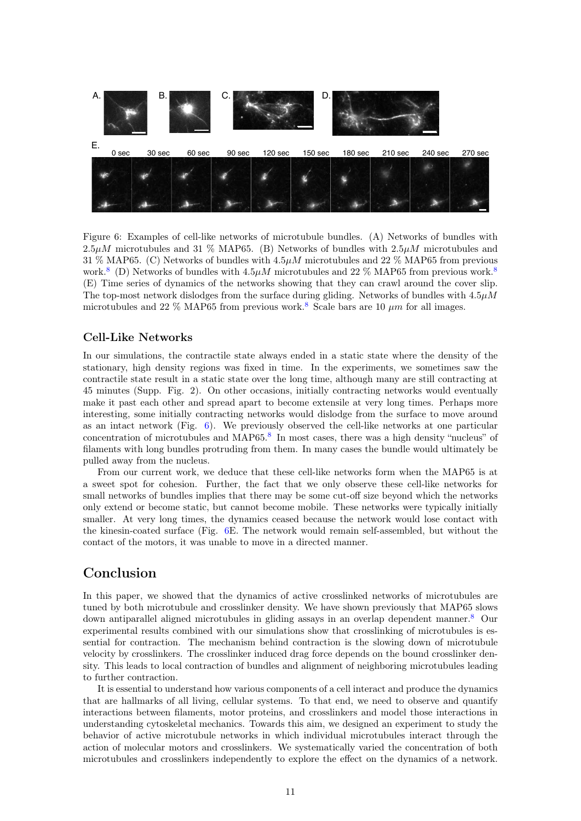

<span id="page-10-0"></span>Figure 6: Examples of cell-like networks of microtubule bundles. (A) Networks of bundles with  $2.5\mu M$  microtubules and 31 % MAP65. (B) Networks of bundles with  $2.5\mu M$  microtubules and 31 % MAP65. (C) Networks of bundles with  $4.5\mu M$  microtubules and 22 % MAP65 from previous work.<sup>[8](#page-11-6)</sup> (D) Networks of bundles with  $4.5\mu M$  microtubules and 22 % MAP65 from previous work.<sup>8</sup> (E) Time series of dynamics of the networks showing that they can crawl around the cover slip. The top-most network dislodges from the surface during gliding. Networks of bundles with  $4.5\mu$ M microtubules and 22 % MAP65 from previous work.<sup>[8](#page-11-6)</sup> Scale bars are 10  $\mu$ m for all images.

### Cell-Like Networks

In our simulations, the contractile state always ended in a static state where the density of the stationary, high density regions was fixed in time. In the experiments, we sometimes saw the contractile state result in a static state over the long time, although many are still contracting at 45 minutes (Supp. Fig. 2). On other occasions, initially contracting networks would eventually make it past each other and spread apart to become extensile at very long times. Perhaps more interesting, some initially contracting networks would dislodge from the surface to move around as an intact network (Fig.  $6$ ). We previously observed the cell-like networks at one particular concentration of microtubules and MAP65.<sup>[8](#page-11-6)</sup> In most cases, there was a high density "nucleus" of filaments with long bundles protruding from them. In many cases the bundle would ultimately be pulled away from the nucleus.

From our current work, we deduce that these cell-like networks form when the MAP65 is at a sweet spot for cohesion. Further, the fact that we only observe these cell-like networks for small networks of bundles implies that there may be some cut-off size beyond which the networks only extend or become static, but cannot become mobile. These networks were typically initially smaller. At very long times, the dynamics ceased because the network would lose contact with the kinesin-coated surface (Fig. [6E](#page-10-0). The network would remain self-assembled, but without the contact of the motors, it was unable to move in a directed manner.

## Conclusion

In this paper, we showed that the dynamics of active crosslinked networks of microtubules are tuned by both microtubule and crosslinker density. We have shown previously that MAP65 slows down antiparallel aligned microtubules in gliding assays in an overlap dependent manner.[8](#page-11-6) Our experimental results combined with our simulations show that crosslinking of microtubules is essential for contraction. The mechanism behind contraction is the slowing down of microtubule velocity by crosslinkers. The crosslinker induced drag force depends on the bound crosslinker density. This leads to local contraction of bundles and alignment of neighboring microtubules leading to further contraction.

It is essential to understand how various components of a cell interact and produce the dynamics that are hallmarks of all living, cellular systems. To that end, we need to observe and quantify interactions between filaments, motor proteins, and crosslinkers and model those interactions in understanding cytoskeletal mechanics. Towards this aim, we designed an experiment to study the behavior of active microtubule networks in which individual microtubules interact through the action of molecular motors and crosslinkers. We systematically varied the concentration of both microtubules and crosslinkers independently to explore the effect on the dynamics of a network.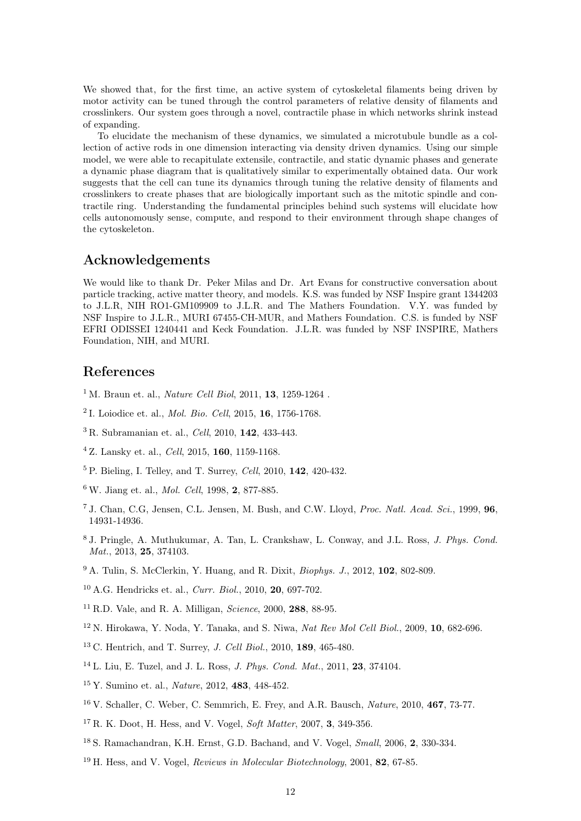We showed that, for the first time, an active system of cytoskeletal filaments being driven by motor activity can be tuned through the control parameters of relative density of filaments and crosslinkers. Our system goes through a novel, contractile phase in which networks shrink instead of expanding.

To elucidate the mechanism of these dynamics, we simulated a microtubule bundle as a collection of active rods in one dimension interacting via density driven dynamics. Using our simple model, we were able to recapitulate extensile, contractile, and static dynamic phases and generate a dynamic phase diagram that is qualitatively similar to experimentally obtained data. Our work suggests that the cell can tune its dynamics through tuning the relative density of filaments and crosslinkers to create phases that are biologically important such as the mitotic spindle and contractile ring. Understanding the fundamental principles behind such systems will elucidate how cells autonomously sense, compute, and respond to their environment through shape changes of the cytoskeleton.

## Acknowledgements

We would like to thank Dr. Peker Milas and Dr. Art Evans for constructive conversation about particle tracking, active matter theory, and models. K.S. was funded by NSF Inspire grant 1344203 to J.L.R, NIH RO1-GM109909 to J.L.R. and The Mathers Foundation. V.Y. was funded by NSF Inspire to J.L.R., MURI 67455-CH-MUR, and Mathers Foundation. C.S. is funded by NSF EFRI ODISSEI 1240441 and Keck Foundation. J.L.R. was funded by NSF INSPIRE, Mathers Foundation, NIH, and MURI.

## References

- <span id="page-11-0"></span><sup>1</sup> M. Braun et. al., *Nature Cell Biol*, 2011, **13**, 1259-1264.
- <span id="page-11-2"></span><sup>2</sup> I. Loiodice et. al., *Mol. Bio. Cell*, 2015, **16**, 1756-1768.
- <span id="page-11-3"></span> $3 R.$  Subramanian et. al., *Cell*, 2010, 142, 433-443.
- <sup>4</sup> Z. Lansky et. al., Cell, 2015, 160, 1159-1168.
- <span id="page-11-1"></span> $5$  P. Bieling, I. Telley, and T. Surrey, *Cell*, 2010,  $142$ , 420-432.
- <span id="page-11-4"></span><sup>6</sup> W. Jiang et. al., Mol. Cell, 1998, 2, 877-885.
- <span id="page-11-5"></span><sup>7</sup> J. Chan, C.G. Jensen, C.L. Jensen, M. Bush, and C.W. Lloyd, *Proc. Natl. Acad. Sci.*, 1999, **96**, 14931-14936.
- <span id="page-11-6"></span><sup>8</sup> J. Pringle, A. Muthukumar, A. Tan, L. Crankshaw, L. Conway, and J.L. Ross, J. Phys. Cond. Mat., 2013, **25**, 374103.
- <span id="page-11-7"></span><sup>9</sup> A. Tulin, S. McClerkin, Y. Huang, and R. Dixit, *Biophys. J.*, 2012, 102, 802-809.
- <span id="page-11-8"></span> $10$  A.G. Hendricks et. al., *Curr. Biol.*, 2010, 20, 697-702.
- $11$  R.D. Vale, and R. A. Milligan, *Science*, 2000, **288**, 88-95.
- <span id="page-11-9"></span> $12$  N. Hirokawa, Y. Noda, Y. Tanaka, and S. Niwa, Nat Rev Mol Cell Biol., 2009, 10, 682-696.
- <span id="page-11-10"></span><sup>13</sup> C. Hentrich, and T. Surrey, J. Cell Biol., 2010, 189, 465-480.
- $14$  L. Liu, E. Tuzel, and J. L. Ross, *J. Phys. Cond. Mat.*, 2011, **23**, 374104.
- <span id="page-11-11"></span><sup>15</sup> Y. Sumino et. al., Nature, 2012, 483, 448-452.
- <span id="page-11-12"></span><sup>16</sup> V. Schaller, C. Weber, C. Semmrich, E. Frey, and A.R. Bausch, Nature, 2010, 467, 73-77.
- <span id="page-11-13"></span> $17$  R. K. Doot, H. Hess, and V. Vogel, *Soft Matter*, 2007, 3, 349-356.
- <sup>18</sup> S. Ramachandran, K.H. Ernst, G.D. Bachand, and V. Vogel, Small, 2006, 2, 330-334.
- <span id="page-11-14"></span> $19$  H. Hess, and V. Vogel, *Reviews in Molecular Biotechnology*, 2001, 82, 67-85.